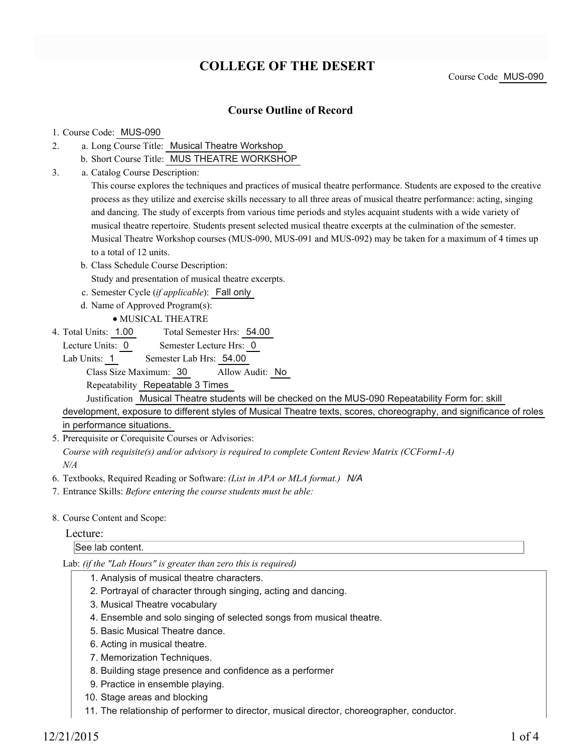# **COLLEGE OF THE DESERT**

### **Course Outline of Record**

#### 1. Course Code: MUS-090

- a. Long Course Title: Musical Theatre Workshop 2.
	- b. Short Course Title: MUS THEATRE WORKSHOP
- Catalog Course Description: a. 3.

This course explores the techniques and practices of musical theatre performance. Students are exposed to the creative process as they utilize and exercise skills necessary to all three areas of musical theatre performance: acting, singing and dancing. The study of excerpts from various time periods and styles acquaint students with a wide variety of musical theatre repertoire. Students present selected musical theatre excerpts at the culmination of the semester. Musical Theatre Workshop courses (MUS-090, MUS-091 and MUS-092) may be taken for a maximum of 4 times up to a total of 12 units.

- b. Class Schedule Course Description:
- Study and presentation of musical theatre excerpts.
- c. Semester Cycle (*if applicable*): Fall only
- d. Name of Approved Program(s):
	- MUSICAL THEATRE
- Total Semester Hrs: 54.00 4. Total Units: 1.00
	- Lecture Units: 0 Semester Lecture Hrs: 0
	- Lab Units: 1 Semester Lab Hrs: 54.00

Class Size Maximum: 30 Allow Audit: No

Repeatability Repeatable 3 Times

Justification Musical Theatre students will be checked on the MUS-090 Repeatability Form for: skill development, exposure to different styles of Musical Theatre texts, scores, choreography, and significance of roles in performance situations.

5. Prerequisite or Corequisite Courses or Advisories:

*Course with requisite(s) and/or advisory is required to complete Content Review Matrix (CCForm1-A) N/A*

- 6. Textbooks, Required Reading or Software: *(List in APA or MLA format.) N/A*
- 7. Entrance Skills: *Before entering the course students must be able:*
- 8. Course Content and Scope:

#### Lecture:

### See lab content.

Lab: *(if the "Lab Hours" is greater than zero this is required)*

- 1. Analysis of musical theatre characters.
- 2. Portrayal of character through singing, acting and dancing.
- 3. Musical Theatre vocabulary
- 4. Ensemble and solo singing of selected songs from musical theatre.
- 5. Basic Musical Theatre dance.
- 6. Acting in musical theatre.
- 7. Memorization Techniques.
- 8. Building stage presence and confidence as a performer
- 9. Practice in ensemble playing.
- 10. Stage areas and blocking
- 11. The relationship of performer to director, musical director, choreographer, conductor.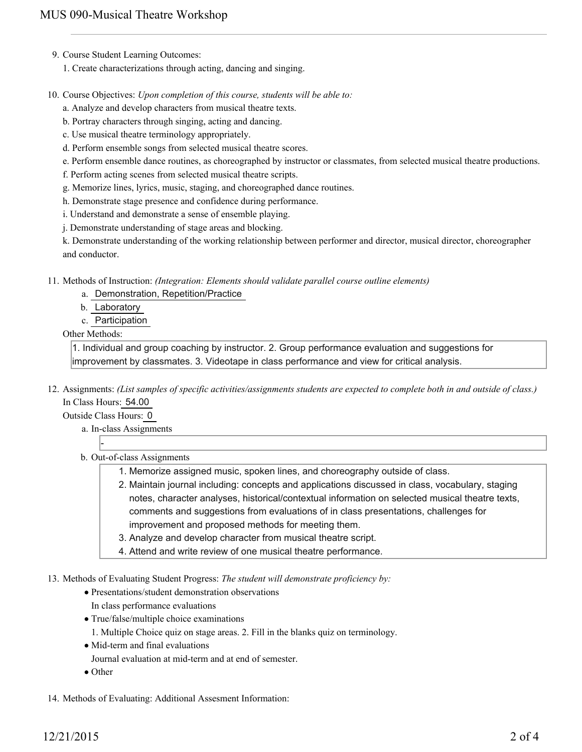- 9. Course Student Learning Outcomes:
	- 1. Create characterizations through acting, dancing and singing.
- 10. Course Objectives: Upon completion of this course, students will be able to:
	- a. Analyze and develop characters from musical theatre texts.
	- b. Portray characters through singing, acting and dancing.
	- c. Use musical theatre terminology appropriately.
	- d. Perform ensemble songs from selected musical theatre scores.
	- e. Perform ensemble dance routines, as choreographed by instructor or classmates, from selected musical theatre productions.
	- f. Perform acting scenes from selected musical theatre scripts.
	- g. Memorize lines, lyrics, music, staging, and choreographed dance routines.
	- h. Demonstrate stage presence and confidence during performance.
	- i. Understand and demonstrate a sense of ensemble playing.
	- j. Demonstrate understanding of stage areas and blocking.

k. Demonstrate understanding of the working relationship between performer and director, musical director, choreographer and conductor.

Methods of Instruction: *(Integration: Elements should validate parallel course outline elements)* 11.

- a. Demonstration, Repetition/Practice
	- b. Laboratory
	- c. Participation

#### Other Methods:

1. Individual and group coaching by instructor. 2. Group performance evaluation and suggestions for improvement by classmates. 3. Videotape in class performance and view for critical analysis.

12. Assignments: (List samples of specific activities/assignments students are expected to complete both in and outside of class.) In Class Hours: 54.00

Outside Class Hours: 0

a. In-class Assignments

-

- b. Out-of-class Assignments
	- 1. Memorize assigned music, spoken lines, and choreography outside of class.
	- 2. Maintain journal including: concepts and applications discussed in class, vocabulary, staging notes, character analyses, historical/contextual information on selected musical theatre texts, comments and suggestions from evaluations of in class presentations, challenges for improvement and proposed methods for meeting them.
	- 3. Analyze and develop character from musical theatre script.
	- 4. Attend and write review of one musical theatre performance.
- 13. Methods of Evaluating Student Progress: The student will demonstrate proficiency by:
	- Presentations/student demonstration observations
	- In class performance evaluations
	- True/false/multiple choice examinations
		- 1. Multiple Choice quiz on stage areas. 2. Fill in the blanks quiz on terminology.
	- Mid-term and final evaluations
	- Journal evaluation at mid-term and at end of semester.
	- Other

14. Methods of Evaluating: Additional Assesment Information: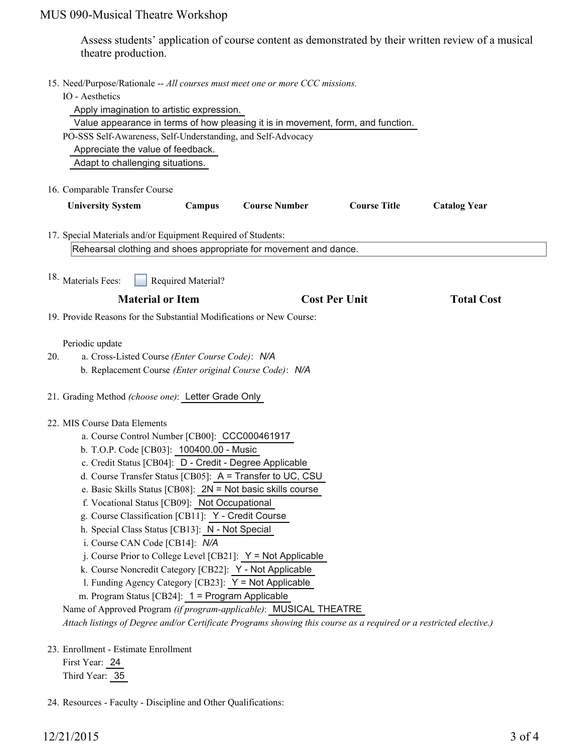# MUS 090-Musical Theatre Workshop

Assess students' application of course content as demonstrated by their written review of a musical theatre production.

|     | 15. Need/Purpose/Rationale -- All courses must meet one or more CCC missions.<br>IO - Aesthetics<br>Apply imagination to artistic expression.<br>Value appearance in terms of how pleasing it is in movement, form, and function.<br>PO-SSS Self-Awareness, Self-Understanding, and Self-Advocacy<br>Appreciate the value of feedback.<br>Adapt to challenging situations.                                                                                                                                                                                                                                                                                                                                                                                                                                                                                                                                                                         |
|-----|----------------------------------------------------------------------------------------------------------------------------------------------------------------------------------------------------------------------------------------------------------------------------------------------------------------------------------------------------------------------------------------------------------------------------------------------------------------------------------------------------------------------------------------------------------------------------------------------------------------------------------------------------------------------------------------------------------------------------------------------------------------------------------------------------------------------------------------------------------------------------------------------------------------------------------------------------|
|     | 16. Comparable Transfer Course<br><b>Course Number</b>                                                                                                                                                                                                                                                                                                                                                                                                                                                                                                                                                                                                                                                                                                                                                                                                                                                                                             |
|     | <b>Course Title</b><br><b>University System</b><br>Campus<br><b>Catalog Year</b><br>17. Special Materials and/or Equipment Required of Students:<br>Rehearsal clothing and shoes appropriate for movement and dance.                                                                                                                                                                                                                                                                                                                                                                                                                                                                                                                                                                                                                                                                                                                               |
|     | <sup>18.</sup> Materials Fees:<br>Required Material?                                                                                                                                                                                                                                                                                                                                                                                                                                                                                                                                                                                                                                                                                                                                                                                                                                                                                               |
|     | <b>Material or Item</b><br><b>Cost Per Unit</b><br><b>Total Cost</b>                                                                                                                                                                                                                                                                                                                                                                                                                                                                                                                                                                                                                                                                                                                                                                                                                                                                               |
|     | 19. Provide Reasons for the Substantial Modifications or New Course:                                                                                                                                                                                                                                                                                                                                                                                                                                                                                                                                                                                                                                                                                                                                                                                                                                                                               |
| 20. | Periodic update<br>a. Cross-Listed Course (Enter Course Code): N/A<br>b. Replacement Course (Enter original Course Code): N/A                                                                                                                                                                                                                                                                                                                                                                                                                                                                                                                                                                                                                                                                                                                                                                                                                      |
|     | 21. Grading Method (choose one): Letter Grade Only                                                                                                                                                                                                                                                                                                                                                                                                                                                                                                                                                                                                                                                                                                                                                                                                                                                                                                 |
|     | 22. MIS Course Data Elements<br>a. Course Control Number [CB00]: CCC000461917<br>b. T.O.P. Code [CB03]: 100400.00 - Music<br>c. Credit Status [CB04]: D - Credit - Degree Applicable<br>d. Course Transfer Status [CB05]: A = Transfer to UC, CSU<br>e. Basic Skills Status [CB08]: $2N = Not$ basic skills course<br>f. Vocational Status [CB09]: Not Occupational<br>g. Course Classification [CB11]: Y - Credit Course<br>h. Special Class Status [CB13]: N - Not Special<br>i. Course CAN Code [CB14]: N/A<br>j. Course Prior to College Level [CB21]: $Y = Not$ Applicable<br>k. Course Noncredit Category [CB22]: Y - Not Applicable<br>l. Funding Agency Category [CB23]: Y = Not Applicable<br>m. Program Status [CB24]: 1 = Program Applicable<br>Name of Approved Program (if program-applicable): MUSICAL THEATRE<br>Attach listings of Degree and/or Certificate Programs showing this course as a required or a restricted elective.) |
|     | 23. Enrollment - Estimate Enrollment<br>First Year: 24<br>Third Year: 35                                                                                                                                                                                                                                                                                                                                                                                                                                                                                                                                                                                                                                                                                                                                                                                                                                                                           |

24. Resources - Faculty - Discipline and Other Qualifications: